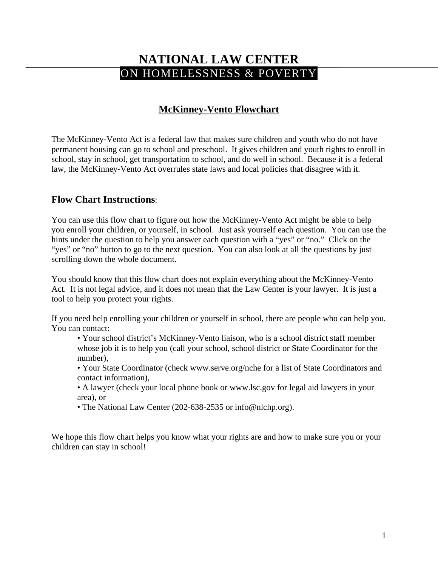# **NATIONAL LAW CENTER**  ON HOMELESSNESS & POVERTY

# **McKinney-Vento Flowchart**

The McKinney-Vento Act is a federal law that makes sure children and youth who do not have permanent housing can go to school and preschool. It gives children and youth rights to enroll in school, stay in school, get transportation to school, and do well in school. Because it is a federal law, the McKinney-Vento Act overrules state laws and local policies that disagree with it.

# **Flow Chart Instructions**:

You can use this flow chart to figure out how the McKinney-Vento Act might be able to help you enroll your children, or yourself, in school. Just ask yourself each question. You can use the hints under the question to help you answer each question with a "yes" or "no." Click on the "yes" or "no" button to go to the next question. You can also look at all the questions by just scrolling down the whole document.

You should know that this flow chart does not explain everything about the McKinney-Vento Act. It is not legal advice, and it does not mean that the Law Center is your lawyer. It is just a tool to help you protect your rights.

If you need help enrolling your children or yourself in school, there are people who can help you. You can contact:

- Your school district's McKinney-Vento liaison, who is a school district staff member whose job it is to help you (call your school, school district or State Coordinator for the number),
- Your State Coordinator (check www.serve.org/nche for a list of State Coordinators and contact information),
- A lawyer (check your local phone book or www.lsc.gov for legal aid lawyers in your area), or
- The National Law Center (202-638-2535 or info@nlchp.org).

We hope this flow chart helps you know what your rights are and how to make sure you or your children can stay in school!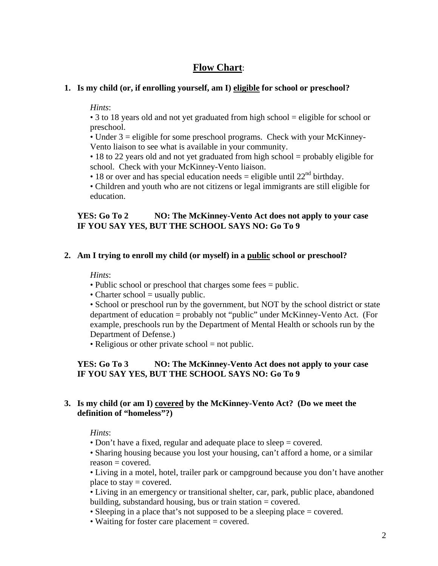# **Flow Chart**:

### **1. Is my child (or, if enrolling yourself, am I) eligible for school or preschool?**

#### *Hints*:

• 3 to 18 years old and not yet graduated from high school = eligible for school or preschool.

• Under 3 = eligible for some preschool programs. Check with your McKinney-Vento liaison to see what is available in your community.

• 18 to 22 years old and not yet graduated from high school = probably eligible for school. Check with your McKinney-Vento liaison.

• 18 or over and has special education needs = eligible until  $22<sup>nd</sup>$  birthday.

• Children and youth who are not citizens or legal immigrants are still eligible for education.

# **YES: Go To 2 NO: The McKinney-Vento Act does not apply to your case IF YOU SAY YES, BUT THE SCHOOL SAYS NO: Go To 9**

# **2. Am I trying to enroll my child (or myself) in a public school or preschool?**

#### *Hints*:

- Public school or preschool that charges some fees = public.
- Charter school  $=$  usually public.

• School or preschool run by the government, but NOT by the school district or state department of education = probably not "public" under McKinney-Vento Act. (For example, preschools run by the Department of Mental Health or schools run by the Department of Defense.)

• Religious or other private school  $=$  not public.

# **YES: Go To 3 NO: The McKinney-Vento Act does not apply to your case IF YOU SAY YES, BUT THE SCHOOL SAYS NO: Go To 9**

#### **3. Is my child (or am I) covered by the McKinney-Vento Act? (Do we meet the definition of "homeless"?)**

#### *Hints*:

• Don't have a fixed, regular and adequate place to sleep = covered.

• Sharing housing because you lost your housing, can't afford a home, or a similar reason = covered.

• Living in a motel, hotel, trailer park or campground because you don't have another place to stay = covered.

• Living in an emergency or transitional shelter, car, park, public place, abandoned building, substandard housing, bus or train station = covered.

• Sleeping in a place that's not supposed to be a sleeping place = covered.

• Waiting for foster care placement = covered.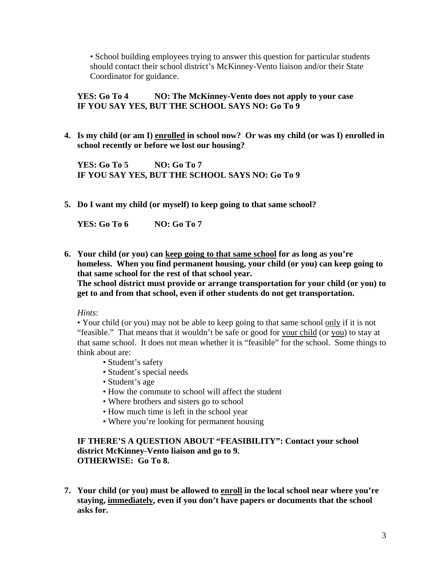• School building employees trying to answer this question for particular students should contact their school district's McKinney-Vento liaison and/or their State Coordinator for guidance.

# **YES: Go To 4 NO: The McKinney-Vento does not apply to your case IF YOU SAY YES, BUT THE SCHOOL SAYS NO: Go To 9**

**4. Is my child (or am I) enrolled in school now? Or was my child (or was I) enrolled in school recently or before we lost our housing?** 

**YES: Go To 5 NO: Go To 7 IF YOU SAY YES, BUT THE SCHOOL SAYS NO: Go To 9** 

**5. Do I want my child (or myself) to keep going to that same school?** 

**YES: Go To 6 NO: Go To 7** 

**6. Your child (or you) can keep going to that same school for as long as you're homeless. When you find permanent housing, your child (or you) can keep going to that same school for the rest of that school year. The school district must provide or arrange transportation for your child (or you) to get to and from that school, even if other students do not get transportation.**

*Hints*:

• Your child (or you) may not be able to keep going to that same school only if it is not "feasible." That means that it wouldn't be safe or good for your child (or you) to stay at that same school. It does not mean whether it is "feasible" for the school. Some things to think about are:

- Student's safety
- Student's special needs
- Student's age
- How the commute to school will affect the student
- Where brothers and sisters go to school
- How much time is left in the school year
- Where you're looking for permanent housing

# **IF THERE'S A QUESTION ABOUT "FEASIBILITY": Contact your school district McKinney-Vento liaison and go to 9. OTHERWISE: Go To 8.**

**7. Your child (or you) must be allowed to enroll in the local school near where you're staying, immediately, even if you don't have papers or documents that the school asks for.**